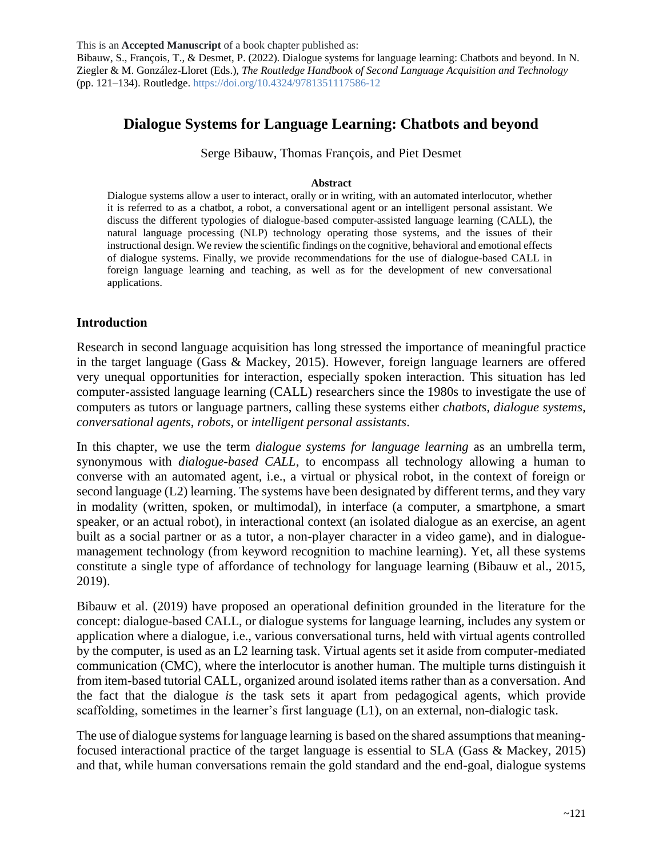This is an **Accepted Manuscript** of a book chapter published as: Bibauw, S., François, T., & Desmet, P. (2022). Dialogue systems for language learning: Chatbots and beyond. In N. Ziegler & M. González-Lloret (Eds.), *The Routledge Handbook of Second Language Acquisition and Technology* (pp. 121–134). Routledge[. https://doi.org/10.4324/9781351117586-12](https://doi.org/10.4324/9781351117586-12)

# **Dialogue Systems for Language Learning: Chatbots and beyond**

Serge Bibauw, Thomas François, and Piet Desmet

#### **Abstract**

Dialogue systems allow a user to interact, orally or in writing, with an automated interlocutor, whether it is referred to as a chatbot, a robot, a conversational agent or an intelligent personal assistant. We discuss the different typologies of dialogue-based computer-assisted language learning (CALL), the natural language processing (NLP) technology operating those systems, and the issues of their instructional design. We review the scientific findings on the cognitive, behavioral and emotional effects of dialogue systems. Finally, we provide recommendations for the use of dialogue-based CALL in foreign language learning and teaching, as well as for the development of new conversational applications.

#### **Introduction**

Research in second language acquisition has long stressed the importance of meaningful practice in the target language (Gass & Mackey, 2015). However, foreign language learners are offered very unequal opportunities for interaction, especially spoken interaction. This situation has led computer-assisted language learning (CALL) researchers since the 1980s to investigate the use of computers as tutors or language partners, calling these systems either *chatbots*, *dialogue systems*, *conversational agents*, *robots*, or *intelligent personal assistants*.

In this chapter, we use the term *dialogue systems for language learning* as an umbrella term, synonymous with *dialogue-based CALL*, to encompass all technology allowing a human to converse with an automated agent, i.e., a virtual or physical robot, in the context of foreign or second language (L2) learning. The systems have been designated by different terms, and they vary in modality (written, spoken, or multimodal), in interface (a computer, a smartphone, a smart speaker, or an actual robot), in interactional context (an isolated dialogue as an exercise, an agent built as a social partner or as a tutor, a non-player character in a video game), and in dialoguemanagement technology (from keyword recognition to machine learning). Yet, all these systems constitute a single type of affordance of technology for language learning (Bibauw et al., 2015, 2019).

Bibauw et al. (2019) have proposed an operational definition grounded in the literature for the concept: dialogue-based CALL, or dialogue systems for language learning, includes any system or application where a dialogue, i.e., various conversational turns, held with virtual agents controlled by the computer, is used as an L2 learning task. Virtual agents set it aside from computer-mediated communication (CMC), where the interlocutor is another human. The multiple turns distinguish it from item-based tutorial CALL, organized around isolated items rather than as a conversation. And the fact that the dialogue *is* the task sets it apart from pedagogical agents, which provide scaffolding, sometimes in the learner's first language (L1), on an external, non-dialogic task.

The use of dialogue systems for language learning is based on the shared assumptions that meaningfocused interactional practice of the target language is essential to SLA (Gass & Mackey, 2015) and that, while human conversations remain the gold standard and the end-goal, dialogue systems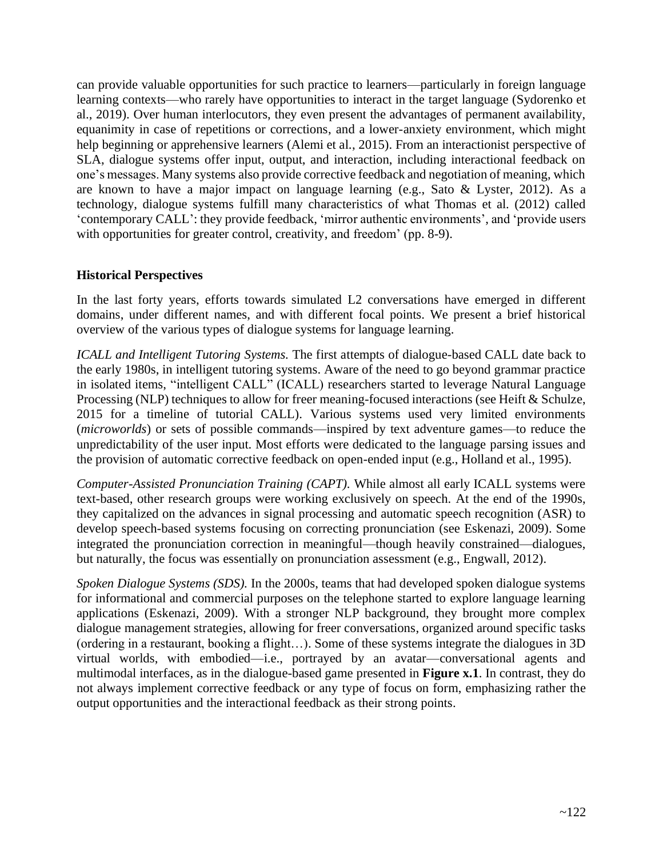can provide valuable opportunities for such practice to learners—particularly in foreign language learning contexts—who rarely have opportunities to interact in the target language (Sydorenko et al., 2019). Over human interlocutors, they even present the advantages of permanent availability, equanimity in case of repetitions or corrections, and a lower-anxiety environment, which might help beginning or apprehensive learners (Alemi et al., 2015). From an interactionist perspective of SLA, dialogue systems offer input, output, and interaction, including interactional feedback on one's messages. Many systems also provide corrective feedback and negotiation of meaning, which are known to have a major impact on language learning (e.g., Sato & Lyster, 2012). As a technology, dialogue systems fulfill many characteristics of what Thomas et al. (2012) called 'contemporary CALL': they provide feedback, 'mirror authentic environments', and 'provide users with opportunities for greater control, creativity, and freedom' (pp. 8-9).

#### **Historical Perspectives**

In the last forty years, efforts towards simulated L2 conversations have emerged in different domains, under different names, and with different focal points. We present a brief historical overview of the various types of dialogue systems for language learning.

*ICALL and Intelligent Tutoring Systems.* The first attempts of dialogue-based CALL date back to the early 1980s, in intelligent tutoring systems. Aware of the need to go beyond grammar practice in isolated items, "intelligent CALL" (ICALL) researchers started to leverage Natural Language Processing (NLP) techniques to allow for freer meaning-focused interactions (see Heift & Schulze, 2015 for a timeline of tutorial CALL). Various systems used very limited environments (*microworlds*) or sets of possible commands—inspired by text adventure games—to reduce the unpredictability of the user input. Most efforts were dedicated to the language parsing issues and the provision of automatic corrective feedback on open-ended input (e.g., Holland et al., 1995).

*Computer-Assisted Pronunciation Training (CAPT).* While almost all early ICALL systems were text-based, other research groups were working exclusively on speech. At the end of the 1990s, they capitalized on the advances in signal processing and automatic speech recognition (ASR) to develop speech-based systems focusing on correcting pronunciation (see Eskenazi, 2009). Some integrated the pronunciation correction in meaningful—though heavily constrained—dialogues, but naturally, the focus was essentially on pronunciation assessment (e.g., Engwall, 2012).

*Spoken Dialogue Systems (SDS).* In the 2000s, teams that had developed spoken dialogue systems for informational and commercial purposes on the telephone started to explore language learning applications (Eskenazi, 2009). With a stronger NLP background, they brought more complex dialogue management strategies, allowing for freer conversations, organized around specific tasks (ordering in a restaurant, booking a flight…). Some of these systems integrate the dialogues in 3D virtual worlds, with embodied—i.e., portrayed by an avatar—conversational agents and multimodal interfaces, as in the dialogue-based game presented in **Figure x.1**. In contrast, they do not always implement corrective feedback or any type of focus on form, emphasizing rather the output opportunities and the interactional feedback as their strong points.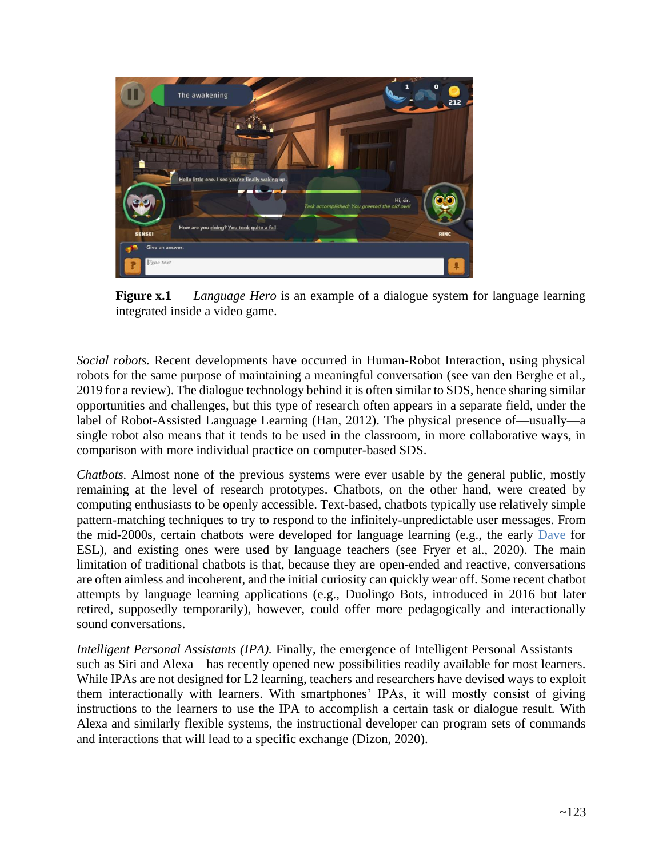

**Figure x.1** *Language Hero* is an example of a dialogue system for language learning integrated inside a video game.

*Social robots.* Recent developments have occurred in Human-Robot Interaction, using physical robots for the same purpose of maintaining a meaningful conversation (see van den Berghe et al., 2019 for a review). The dialogue technology behind it is often similar to SDS, hence sharing similar opportunities and challenges, but this type of research often appears in a separate field, under the label of Robot-Assisted Language Learning (Han, 2012). The physical presence of—usually—a single robot also means that it tends to be used in the classroom, in more collaborative ways, in comparison with more individual practice on computer-based SDS.

*Chatbots.* Almost none of the previous systems were ever usable by the general public, mostly remaining at the level of research prototypes. Chatbots, on the other hand, were created by computing enthusiasts to be openly accessible. Text-based, chatbots typically use relatively simple pattern-matching techniques to try to respond to the infinitely-unpredictable user messages. From the mid-2000s, certain chatbots were developed for language learning (e.g., the early [Dave](http://drwallace.vhost.pandorabots.com/pandora/talkbot?subid=9ee581f91e345394) for ESL), and existing ones were used by language teachers (see Fryer et al., 2020). The main limitation of traditional chatbots is that, because they are open-ended and reactive, conversations are often aimless and incoherent, and the initial curiosity can quickly wear off. Some recent chatbot attempts by language learning applications (e.g., Duolingo Bots, introduced in 2016 but later retired, supposedly temporarily), however, could offer more pedagogically and interactionally sound conversations.

*Intelligent Personal Assistants (IPA).* Finally, the emergence of Intelligent Personal Assistants such as Siri and Alexa—has recently opened new possibilities readily available for most learners. While IPAs are not designed for L2 learning, teachers and researchers have devised ways to exploit them interactionally with learners. With smartphones' IPAs, it will mostly consist of giving instructions to the learners to use the IPA to accomplish a certain task or dialogue result. With Alexa and similarly flexible systems, the instructional developer can program sets of commands and interactions that will lead to a specific exchange (Dizon, 2020).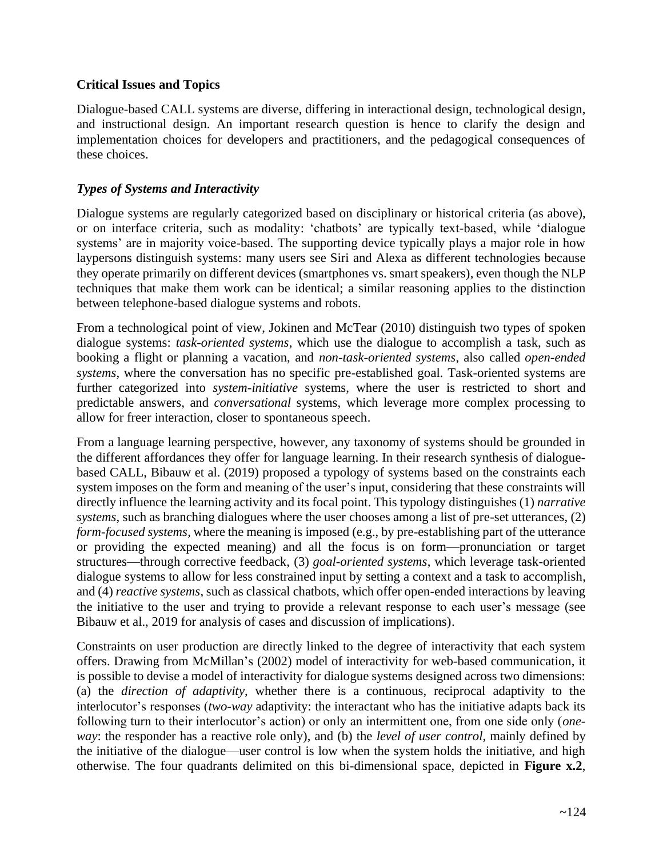#### **Critical Issues and Topics**

Dialogue-based CALL systems are diverse, differing in interactional design, technological design, and instructional design. An important research question is hence to clarify the design and implementation choices for developers and practitioners, and the pedagogical consequences of these choices.

## *Types of Systems and Interactivity*

Dialogue systems are regularly categorized based on disciplinary or historical criteria (as above), or on interface criteria, such as modality: 'chatbots' are typically text-based, while 'dialogue systems' are in majority voice-based. The supporting device typically plays a major role in how laypersons distinguish systems: many users see Siri and Alexa as different technologies because they operate primarily on different devices (smartphones vs. smart speakers), even though the NLP techniques that make them work can be identical; a similar reasoning applies to the distinction between telephone-based dialogue systems and robots.

From a technological point of view, Jokinen and McTear (2010) distinguish two types of spoken dialogue systems: *task-oriented systems*, which use the dialogue to accomplish a task, such as booking a flight or planning a vacation, and *non-task-oriented systems*, also called *open-ended systems*, where the conversation has no specific pre-established goal. Task-oriented systems are further categorized into *system-initiative* systems, where the user is restricted to short and predictable answers, and *conversational* systems, which leverage more complex processing to allow for freer interaction, closer to spontaneous speech.

From a language learning perspective, however, any taxonomy of systems should be grounded in the different affordances they offer for language learning. In their research synthesis of dialoguebased CALL, Bibauw et al. (2019) proposed a typology of systems based on the constraints each system imposes on the form and meaning of the user's input, considering that these constraints will directly influence the learning activity and its focal point. This typology distinguishes (1) *narrative systems*, such as branching dialogues where the user chooses among a list of pre-set utterances, (2) *form-focused systems*, where the meaning is imposed (e.g., by pre-establishing part of the utterance or providing the expected meaning) and all the focus is on form—pronunciation or target structures—through corrective feedback, (3) *goal-oriented systems*, which leverage task-oriented dialogue systems to allow for less constrained input by setting a context and a task to accomplish, and (4) *reactive systems*, such as classical chatbots, which offer open-ended interactions by leaving the initiative to the user and trying to provide a relevant response to each user's message (see Bibauw et al., 2019 for analysis of cases and discussion of implications).

Constraints on user production are directly linked to the degree of interactivity that each system offers. Drawing from McMillan's (2002) model of interactivity for web-based communication, it is possible to devise a model of interactivity for dialogue systems designed across two dimensions: (a) the *direction of adaptivity*, whether there is a continuous, reciprocal adaptivity to the interlocutor's responses (*two-way* adaptivity: the interactant who has the initiative adapts back its following turn to their interlocutor's action) or only an intermittent one, from one side only (*oneway*: the responder has a reactive role only), and (b) the *level of user control*, mainly defined by the initiative of the dialogue—user control is low when the system holds the initiative, and high otherwise. The four quadrants delimited on this bi-dimensional space, depicted in **Figure x.2**,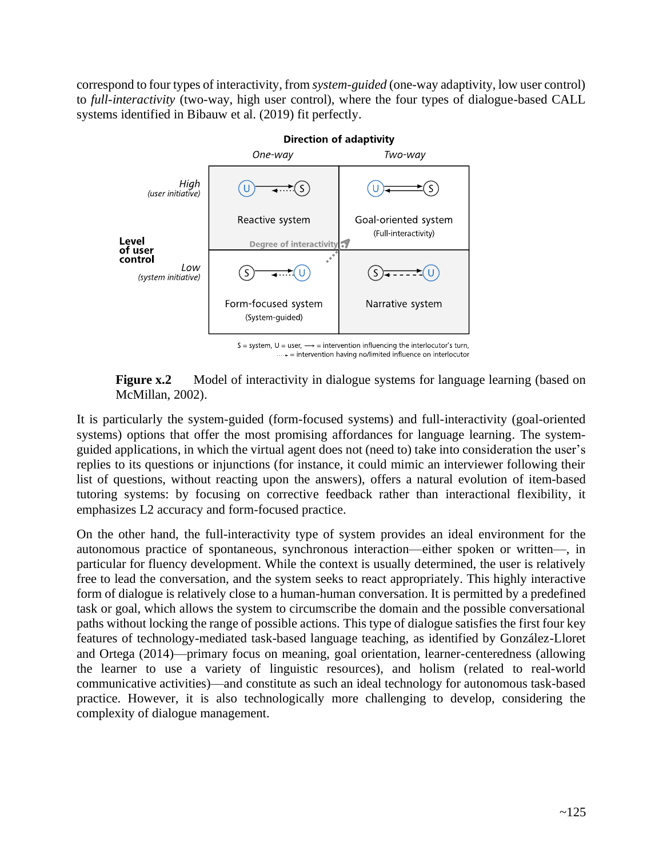correspond to four types of interactivity, from *system-guided* (one-way adaptivity, low user control) to *full-interactivity* (two-way, high user control), where the four types of dialogue-based CALL systems identified in Bibauw et al. (2019) fit perfectly.



**Figure x.2** Model of interactivity in dialogue systems for language learning (based on McMillan, 2002).

It is particularly the system-guided (form-focused systems) and full-interactivity (goal-oriented systems) options that offer the most promising affordances for language learning. The systemguided applications, in which the virtual agent does not (need to) take into consideration the user's replies to its questions or injunctions (for instance, it could mimic an interviewer following their list of questions, without reacting upon the answers), offers a natural evolution of item-based tutoring systems: by focusing on corrective feedback rather than interactional flexibility, it emphasizes L2 accuracy and form-focused practice.

On the other hand, the full-interactivity type of system provides an ideal environment for the autonomous practice of spontaneous, synchronous interaction—either spoken or written—, in particular for fluency development. While the context is usually determined, the user is relatively free to lead the conversation, and the system seeks to react appropriately. This highly interactive form of dialogue is relatively close to a human-human conversation. It is permitted by a predefined task or goal, which allows the system to circumscribe the domain and the possible conversational paths without locking the range of possible actions. This type of dialogue satisfies the first four key features of technology-mediated task-based language teaching, as identified by González-Lloret and Ortega (2014)—primary focus on meaning, goal orientation, learner-centeredness (allowing the learner to use a variety of linguistic resources), and holism (related to real-world communicative activities)—and constitute as such an ideal technology for autonomous task-based practice. However, it is also technologically more challenging to develop, considering the complexity of dialogue management.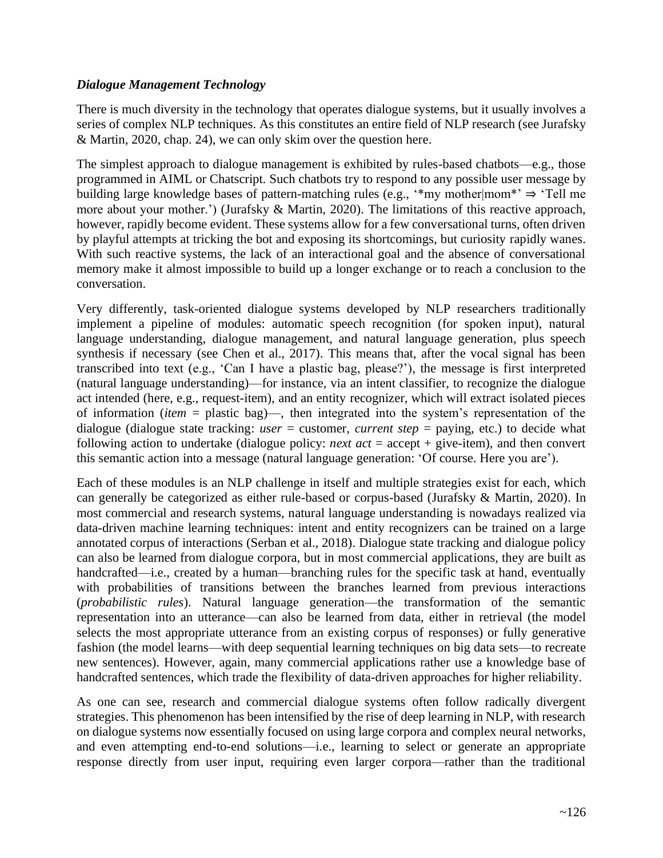#### *Dialogue Management Technology*

There is much diversity in the technology that operates dialogue systems, but it usually involves a series of complex NLP techniques. As this constitutes an entire field of NLP research (see Jurafsky & Martin, 2020, chap. 24), we can only skim over the question here.

The simplest approach to dialogue management is exhibited by rules-based chatbots—e.g., those programmed in AIML or Chatscript. Such chatbots try to respond to any possible user message by building large knowledge bases of pattern-matching rules (e.g., '\*my mother|mom\*' ⇒ 'Tell me more about your mother.') (Jurafsky & Martin, 2020). The limitations of this reactive approach, however, rapidly become evident. These systems allow for a few conversational turns, often driven by playful attempts at tricking the bot and exposing its shortcomings, but curiosity rapidly wanes. With such reactive systems, the lack of an interactional goal and the absence of conversational memory make it almost impossible to build up a longer exchange or to reach a conclusion to the conversation.

Very differently, task-oriented dialogue systems developed by NLP researchers traditionally implement a pipeline of modules: automatic speech recognition (for spoken input), natural language understanding, dialogue management, and natural language generation, plus speech synthesis if necessary (see Chen et al., 2017). This means that, after the vocal signal has been transcribed into text (e.g., 'Can I have a plastic bag, please?'), the message is first interpreted (natural language understanding)—for instance, via an intent classifier, to recognize the dialogue act intended (here, e.g., request-item), and an entity recognizer, which will extract isolated pieces of information (*item* = plastic bag)—, then integrated into the system's representation of the dialogue (dialogue state tracking: *user* = customer, *current step* = paying, etc.) to decide what following action to undertake (dialogue policy: *next act* = accept + give-item), and then convert this semantic action into a message (natural language generation: 'Of course. Here you are').

Each of these modules is an NLP challenge in itself and multiple strategies exist for each, which can generally be categorized as either rule-based or corpus-based (Jurafsky & Martin, 2020). In most commercial and research systems, natural language understanding is nowadays realized via data-driven machine learning techniques: intent and entity recognizers can be trained on a large annotated corpus of interactions (Serban et al., 2018). Dialogue state tracking and dialogue policy can also be learned from dialogue corpora, but in most commercial applications, they are built as handcrafted—i.e., created by a human—branching rules for the specific task at hand, eventually with probabilities of transitions between the branches learned from previous interactions (*probabilistic rules*). Natural language generation—the transformation of the semantic representation into an utterance—can also be learned from data, either in retrieval (the model selects the most appropriate utterance from an existing corpus of responses) or fully generative fashion (the model learns—with deep sequential learning techniques on big data sets—to recreate new sentences). However, again, many commercial applications rather use a knowledge base of handcrafted sentences, which trade the flexibility of data-driven approaches for higher reliability.

As one can see, research and commercial dialogue systems often follow radically divergent strategies. This phenomenon has been intensified by the rise of deep learning in NLP, with research on dialogue systems now essentially focused on using large corpora and complex neural networks, and even attempting end-to-end solutions—i.e., learning to select or generate an appropriate response directly from user input, requiring even larger corpora—rather than the traditional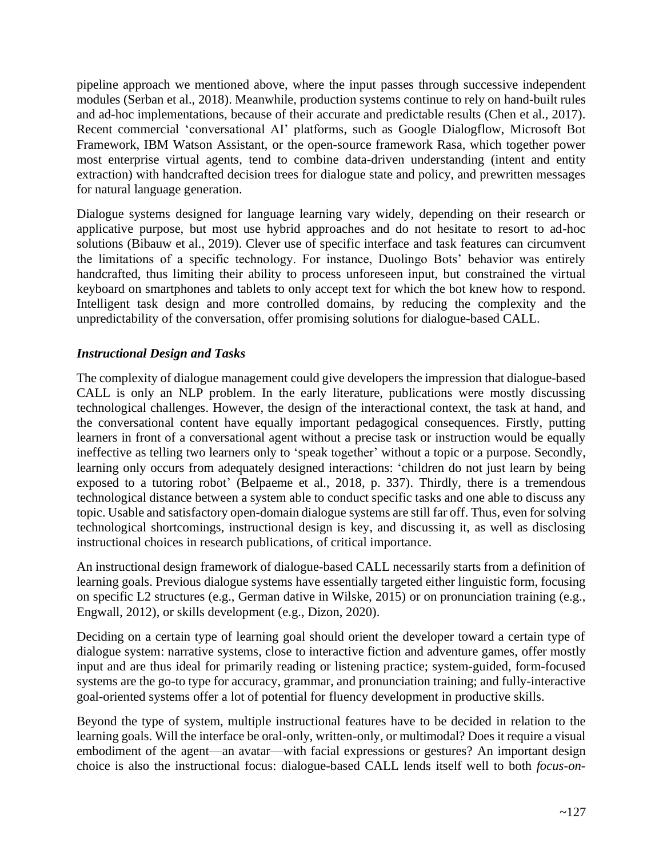pipeline approach we mentioned above, where the input passes through successive independent modules (Serban et al., 2018). Meanwhile, production systems continue to rely on hand-built rules and ad-hoc implementations, because of their accurate and predictable results (Chen et al., 2017). Recent commercial 'conversational AI' platforms, such as Google Dialogflow, Microsoft Bot Framework, IBM Watson Assistant, or the open-source framework Rasa, which together power most enterprise virtual agents, tend to combine data-driven understanding (intent and entity extraction) with handcrafted decision trees for dialogue state and policy, and prewritten messages for natural language generation.

Dialogue systems designed for language learning vary widely, depending on their research or applicative purpose, but most use hybrid approaches and do not hesitate to resort to ad-hoc solutions (Bibauw et al., 2019). Clever use of specific interface and task features can circumvent the limitations of a specific technology. For instance, Duolingo Bots' behavior was entirely handcrafted, thus limiting their ability to process unforeseen input, but constrained the virtual keyboard on smartphones and tablets to only accept text for which the bot knew how to respond. Intelligent task design and more controlled domains, by reducing the complexity and the unpredictability of the conversation, offer promising solutions for dialogue-based CALL.

## *Instructional Design and Tasks*

The complexity of dialogue management could give developers the impression that dialogue-based CALL is only an NLP problem. In the early literature, publications were mostly discussing technological challenges. However, the design of the interactional context, the task at hand, and the conversational content have equally important pedagogical consequences. Firstly, putting learners in front of a conversational agent without a precise task or instruction would be equally ineffective as telling two learners only to 'speak together' without a topic or a purpose. Secondly, learning only occurs from adequately designed interactions: 'children do not just learn by being exposed to a tutoring robot' (Belpaeme et al., 2018, p. 337). Thirdly, there is a tremendous technological distance between a system able to conduct specific tasks and one able to discuss any topic. Usable and satisfactory open-domain dialogue systems are still far off. Thus, even for solving technological shortcomings, instructional design is key, and discussing it, as well as disclosing instructional choices in research publications, of critical importance.

An instructional design framework of dialogue-based CALL necessarily starts from a definition of learning goals. Previous dialogue systems have essentially targeted either linguistic form, focusing on specific L2 structures (e.g., German dative in Wilske, 2015) or on pronunciation training (e.g., Engwall, 2012), or skills development (e.g., Dizon, 2020).

Deciding on a certain type of learning goal should orient the developer toward a certain type of dialogue system: narrative systems, close to interactive fiction and adventure games, offer mostly input and are thus ideal for primarily reading or listening practice; system-guided, form-focused systems are the go-to type for accuracy, grammar, and pronunciation training; and fully-interactive goal-oriented systems offer a lot of potential for fluency development in productive skills.

Beyond the type of system, multiple instructional features have to be decided in relation to the learning goals. Will the interface be oral-only, written-only, or multimodal? Does it require a visual embodiment of the agent—an avatar—with facial expressions or gestures? An important design choice is also the instructional focus: dialogue-based CALL lends itself well to both *focus-on-*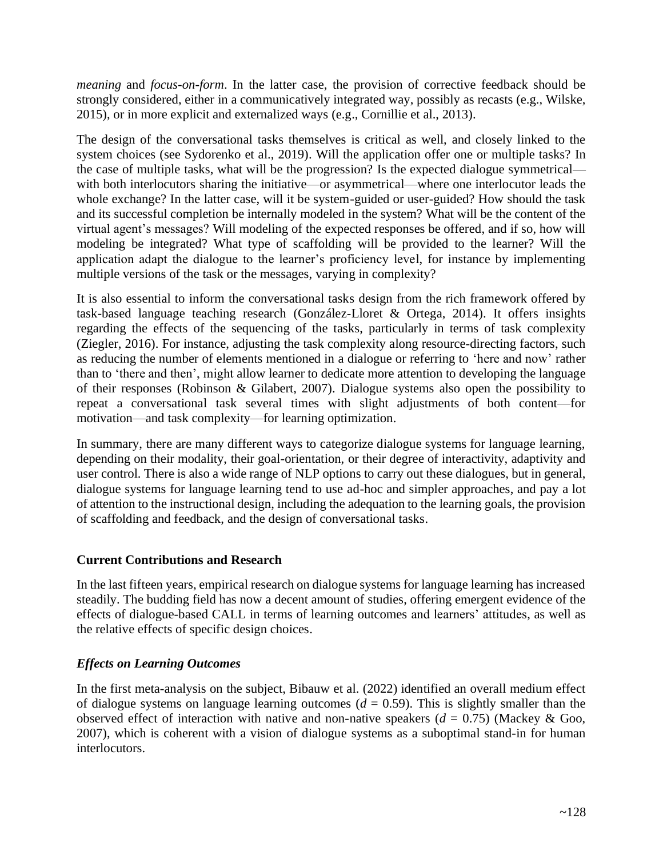*meaning* and *focus-on-form*. In the latter case, the provision of corrective feedback should be strongly considered, either in a communicatively integrated way, possibly as recasts (e.g., Wilske, 2015), or in more explicit and externalized ways (e.g., Cornillie et al., 2013).

The design of the conversational tasks themselves is critical as well, and closely linked to the system choices (see Sydorenko et al., 2019). Will the application offer one or multiple tasks? In the case of multiple tasks, what will be the progression? Is the expected dialogue symmetrical with both interlocutors sharing the initiative—or asymmetrical—where one interlocutor leads the whole exchange? In the latter case, will it be system-guided or user-guided? How should the task and its successful completion be internally modeled in the system? What will be the content of the virtual agent's messages? Will modeling of the expected responses be offered, and if so, how will modeling be integrated? What type of scaffolding will be provided to the learner? Will the application adapt the dialogue to the learner's proficiency level, for instance by implementing multiple versions of the task or the messages, varying in complexity?

It is also essential to inform the conversational tasks design from the rich framework offered by task-based language teaching research (González‐Lloret & Ortega, 2014). It offers insights regarding the effects of the sequencing of the tasks, particularly in terms of task complexity (Ziegler, 2016). For instance, adjusting the task complexity along resource-directing factors, such as reducing the number of elements mentioned in a dialogue or referring to 'here and now' rather than to 'there and then', might allow learner to dedicate more attention to developing the language of their responses (Robinson & Gilabert, 2007). Dialogue systems also open the possibility to repeat a conversational task several times with slight adjustments of both content—for motivation—and task complexity—for learning optimization.

In summary, there are many different ways to categorize dialogue systems for language learning, depending on their modality, their goal-orientation, or their degree of interactivity, adaptivity and user control. There is also a wide range of NLP options to carry out these dialogues, but in general, dialogue systems for language learning tend to use ad-hoc and simpler approaches, and pay a lot of attention to the instructional design, including the adequation to the learning goals, the provision of scaffolding and feedback, and the design of conversational tasks.

## **Current Contributions and Research**

In the last fifteen years, empirical research on dialogue systems for language learning has increased steadily. The budding field has now a decent amount of studies, offering emergent evidence of the effects of dialogue-based CALL in terms of learning outcomes and learners' attitudes, as well as the relative effects of specific design choices.

## *Effects on Learning Outcomes*

In the first meta-analysis on the subject, Bibauw et al. (2022) identified an overall medium effect of dialogue systems on language learning outcomes  $(d = 0.59)$ . This is slightly smaller than the observed effect of interaction with native and non-native speakers  $(d = 0.75)$  (Mackey & Goo, 2007), which is coherent with a vision of dialogue systems as a suboptimal stand-in for human interlocutors.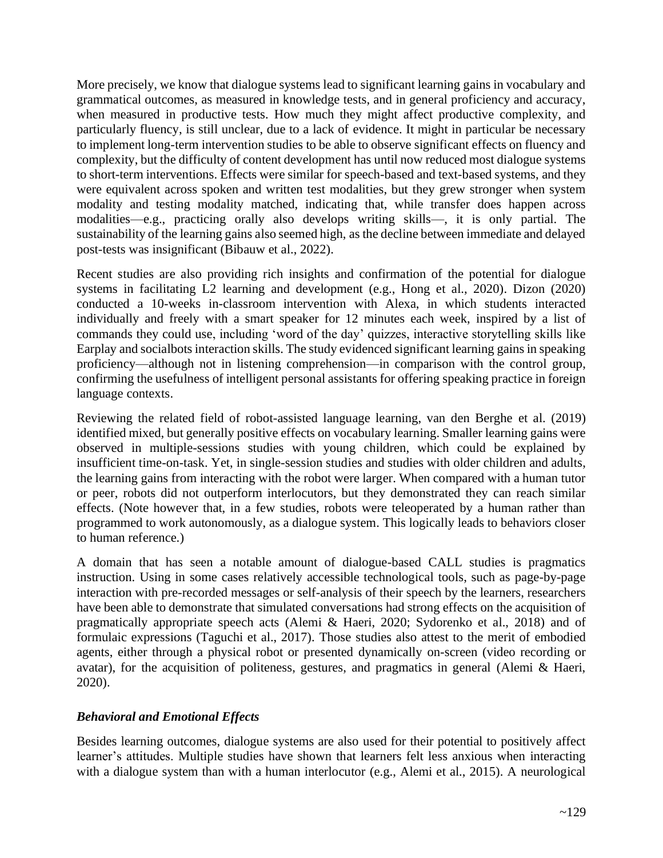More precisely, we know that dialogue systems lead to significant learning gains in vocabulary and grammatical outcomes, as measured in knowledge tests, and in general proficiency and accuracy, when measured in productive tests. How much they might affect productive complexity, and particularly fluency, is still unclear, due to a lack of evidence. It might in particular be necessary to implement long-term intervention studies to be able to observe significant effects on fluency and complexity, but the difficulty of content development has until now reduced most dialogue systems to short-term interventions. Effects were similar for speech-based and text-based systems, and they were equivalent across spoken and written test modalities, but they grew stronger when system modality and testing modality matched, indicating that, while transfer does happen across modalities—e.g., practicing orally also develops writing skills—, it is only partial. The sustainability of the learning gains also seemed high, as the decline between immediate and delayed post-tests was insignificant (Bibauw et al., 2022).

Recent studies are also providing rich insights and confirmation of the potential for dialogue systems in facilitating L2 learning and development (e.g., Hong et al., 2020). Dizon (2020) conducted a 10-weeks in-classroom intervention with Alexa, in which students interacted individually and freely with a smart speaker for 12 minutes each week, inspired by a list of commands they could use, including 'word of the day' quizzes, interactive storytelling skills like Earplay and socialbots interaction skills. The study evidenced significant learning gains in speaking proficiency—although not in listening comprehension—in comparison with the control group, confirming the usefulness of intelligent personal assistants for offering speaking practice in foreign language contexts.

Reviewing the related field of robot-assisted language learning, van den Berghe et al. (2019) identified mixed, but generally positive effects on vocabulary learning. Smaller learning gains were observed in multiple-sessions studies with young children, which could be explained by insufficient time-on-task. Yet, in single-session studies and studies with older children and adults, the learning gains from interacting with the robot were larger. When compared with a human tutor or peer, robots did not outperform interlocutors, but they demonstrated they can reach similar effects. (Note however that, in a few studies, robots were teleoperated by a human rather than programmed to work autonomously, as a dialogue system. This logically leads to behaviors closer to human reference.)

A domain that has seen a notable amount of dialogue-based CALL studies is pragmatics instruction. Using in some cases relatively accessible technological tools, such as page-by-page interaction with pre-recorded messages or self-analysis of their speech by the learners, researchers have been able to demonstrate that simulated conversations had strong effects on the acquisition of pragmatically appropriate speech acts (Alemi & Haeri, 2020; Sydorenko et al., 2018) and of formulaic expressions (Taguchi et al., 2017). Those studies also attest to the merit of embodied agents, either through a physical robot or presented dynamically on-screen (video recording or avatar), for the acquisition of politeness, gestures, and pragmatics in general (Alemi & Haeri, 2020).

## *Behavioral and Emotional Effects*

Besides learning outcomes, dialogue systems are also used for their potential to positively affect learner's attitudes. Multiple studies have shown that learners felt less anxious when interacting with a dialogue system than with a human interlocutor (e.g., Alemi et al., 2015). A neurological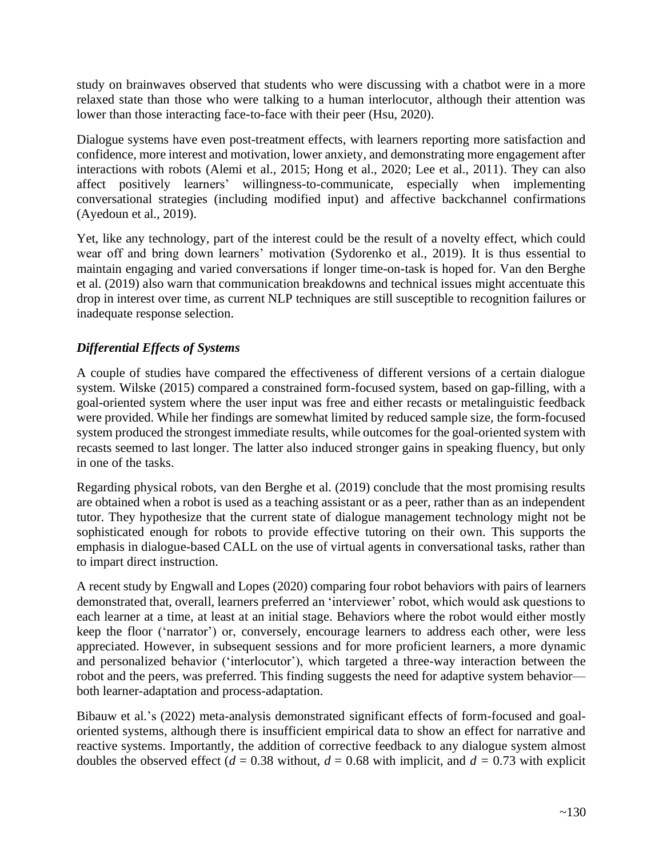study on brainwaves observed that students who were discussing with a chatbot were in a more relaxed state than those who were talking to a human interlocutor, although their attention was lower than those interacting face-to-face with their peer (Hsu, 2020).

Dialogue systems have even post-treatment effects, with learners reporting more satisfaction and confidence, more interest and motivation, lower anxiety, and demonstrating more engagement after interactions with robots (Alemi et al., 2015; Hong et al., 2020; Lee et al., 2011). They can also affect positively learners' willingness-to-communicate, especially when implementing conversational strategies (including modified input) and affective backchannel confirmations (Ayedoun et al., 2019).

Yet, like any technology, part of the interest could be the result of a novelty effect, which could wear off and bring down learners' motivation (Sydorenko et al., 2019). It is thus essential to maintain engaging and varied conversations if longer time-on-task is hoped for. Van den Berghe et al. (2019) also warn that communication breakdowns and technical issues might accentuate this drop in interest over time, as current NLP techniques are still susceptible to recognition failures or inadequate response selection.

## *Differential Effects of Systems*

A couple of studies have compared the effectiveness of different versions of a certain dialogue system. Wilske (2015) compared a constrained form-focused system, based on gap-filling, with a goal-oriented system where the user input was free and either recasts or metalinguistic feedback were provided. While her findings are somewhat limited by reduced sample size, the form-focused system produced the strongest immediate results, while outcomes for the goal-oriented system with recasts seemed to last longer. The latter also induced stronger gains in speaking fluency, but only in one of the tasks.

Regarding physical robots, van den Berghe et al. (2019) conclude that the most promising results are obtained when a robot is used as a teaching assistant or as a peer, rather than as an independent tutor. They hypothesize that the current state of dialogue management technology might not be sophisticated enough for robots to provide effective tutoring on their own. This supports the emphasis in dialogue-based CALL on the use of virtual agents in conversational tasks, rather than to impart direct instruction.

A recent study by Engwall and Lopes (2020) comparing four robot behaviors with pairs of learners demonstrated that, overall, learners preferred an 'interviewer' robot, which would ask questions to each learner at a time, at least at an initial stage. Behaviors where the robot would either mostly keep the floor ('narrator') or, conversely, encourage learners to address each other, were less appreciated. However, in subsequent sessions and for more proficient learners, a more dynamic and personalized behavior ('interlocutor'), which targeted a three-way interaction between the robot and the peers, was preferred. This finding suggests the need for adaptive system behavior both learner-adaptation and process-adaptation.

Bibauw et al.'s (2022) meta-analysis demonstrated significant effects of form-focused and goaloriented systems, although there is insufficient empirical data to show an effect for narrative and reactive systems. Importantly, the addition of corrective feedback to any dialogue system almost doubles the observed effect ( $d = 0.38$  without,  $d = 0.68$  with implicit, and  $d = 0.73$  with explicit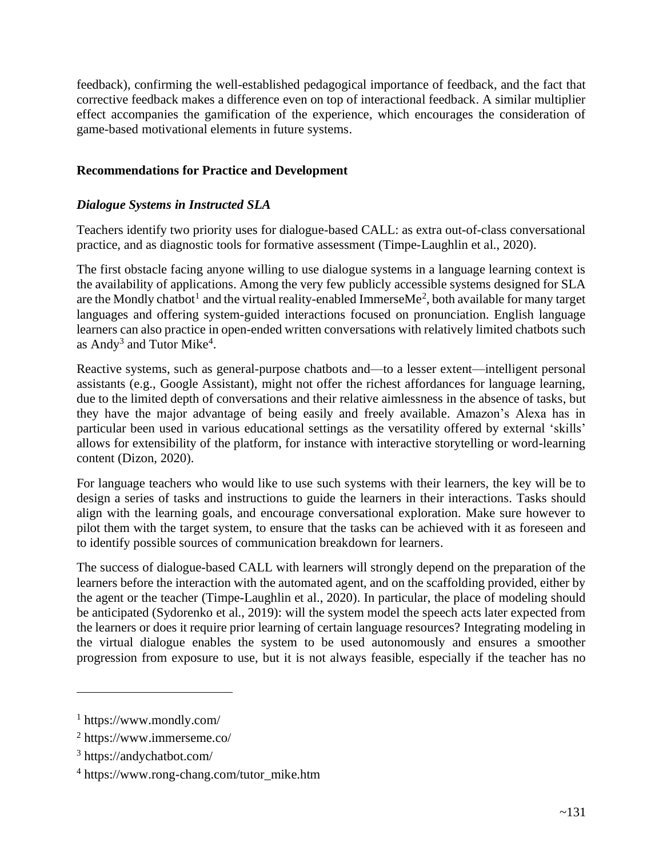feedback), confirming the well-established pedagogical importance of feedback, and the fact that corrective feedback makes a difference even on top of interactional feedback. A similar multiplier effect accompanies the gamification of the experience, which encourages the consideration of game-based motivational elements in future systems.

## **Recommendations for Practice and Development**

## *Dialogue Systems in Instructed SLA*

Teachers identify two priority uses for dialogue-based CALL: as extra out-of-class conversational practice, and as diagnostic tools for formative assessment (Timpe-Laughlin et al., 2020).

The first obstacle facing anyone willing to use dialogue systems in a language learning context is the availability of applications. Among the very few publicly accessible systems designed for SLA are the Mondly chatbot<sup>1</sup> and the virtual reality-enabled ImmerseMe<sup>2</sup>, both available for many target languages and offering system-guided interactions focused on pronunciation. English language learners can also practice in open-ended written conversations with relatively limited chatbots such as Andy<sup>3</sup> and Tutor Mike<sup>4</sup>.

Reactive systems, such as general-purpose chatbots and—to a lesser extent—intelligent personal assistants (e.g., Google Assistant), might not offer the richest affordances for language learning, due to the limited depth of conversations and their relative aimlessness in the absence of tasks, but they have the major advantage of being easily and freely available. Amazon's Alexa has in particular been used in various educational settings as the versatility offered by external 'skills' allows for extensibility of the platform, for instance with interactive storytelling or word-learning content (Dizon, 2020).

For language teachers who would like to use such systems with their learners, the key will be to design a series of tasks and instructions to guide the learners in their interactions. Tasks should align with the learning goals, and encourage conversational exploration. Make sure however to pilot them with the target system, to ensure that the tasks can be achieved with it as foreseen and to identify possible sources of communication breakdown for learners.

The success of dialogue-based CALL with learners will strongly depend on the preparation of the learners before the interaction with the automated agent, and on the scaffolding provided, either by the agent or the teacher (Timpe-Laughlin et al., 2020). In particular, the place of modeling should be anticipated (Sydorenko et al., 2019): will the system model the speech acts later expected from the learners or does it require prior learning of certain language resources? Integrating modeling in the virtual dialogue enables the system to be used autonomously and ensures a smoother progression from exposure to use, but it is not always feasible, especially if the teacher has no

<sup>1</sup> https://www.mondly.com/

<sup>2</sup> https://www.immerseme.co/

<sup>3</sup> https://andychatbot.com/

<sup>4</sup> https://www.rong-chang.com/tutor\_mike.htm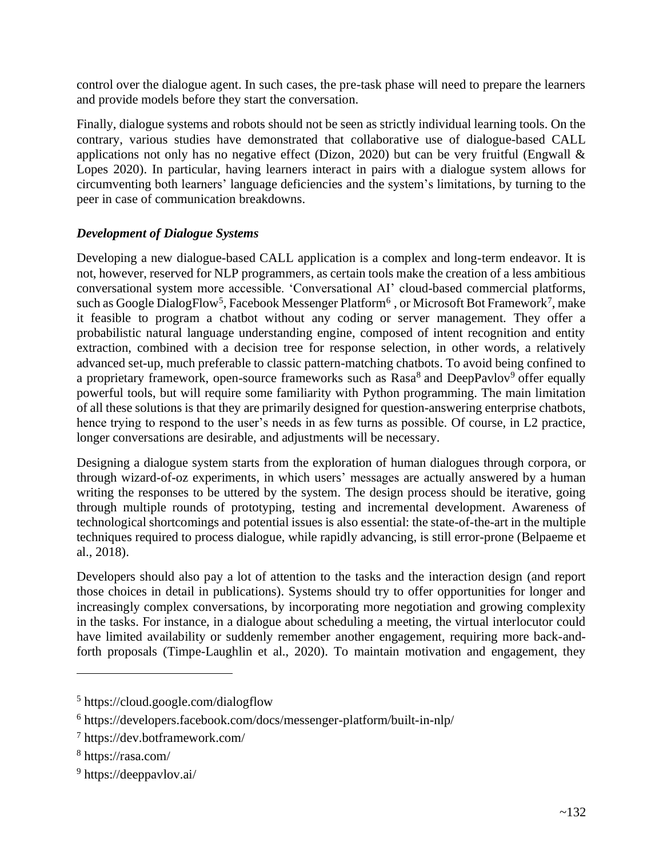control over the dialogue agent. In such cases, the pre-task phase will need to prepare the learners and provide models before they start the conversation.

Finally, dialogue systems and robots should not be seen as strictly individual learning tools. On the contrary, various studies have demonstrated that collaborative use of dialogue-based CALL applications not only has no negative effect (Dizon, 2020) but can be very fruitful (Engwall  $\&$ Lopes 2020). In particular, having learners interact in pairs with a dialogue system allows for circumventing both learners' language deficiencies and the system's limitations, by turning to the peer in case of communication breakdowns.

## *Development of Dialogue Systems*

Developing a new dialogue-based CALL application is a complex and long-term endeavor. It is not, however, reserved for NLP programmers, as certain tools make the creation of a less ambitious conversational system more accessible. 'Conversational AI' cloud-based commercial platforms, such as Google DialogFlow<sup>5</sup>, Facebook Messenger Platform<sup>6</sup>, or Microsoft Bot Framework<sup>7</sup>, make it feasible to program a chatbot without any coding or server management. They offer a probabilistic natural language understanding engine, composed of intent recognition and entity extraction, combined with a decision tree for response selection, in other words, a relatively advanced set-up, much preferable to classic pattern-matching chatbots. To avoid being confined to a proprietary framework, open-source frameworks such as Rasa<sup>8</sup> and DeepPavlov<sup>9</sup> offer equally powerful tools, but will require some familiarity with Python programming. The main limitation of all these solutions is that they are primarily designed for question-answering enterprise chatbots, hence trying to respond to the user's needs in as few turns as possible. Of course, in L2 practice, longer conversations are desirable, and adjustments will be necessary.

Designing a dialogue system starts from the exploration of human dialogues through corpora, or through wizard-of-oz experiments, in which users' messages are actually answered by a human writing the responses to be uttered by the system. The design process should be iterative, going through multiple rounds of prototyping, testing and incremental development. Awareness of technological shortcomings and potential issues is also essential: the state-of-the-art in the multiple techniques required to process dialogue, while rapidly advancing, is still error-prone (Belpaeme et al., 2018).

Developers should also pay a lot of attention to the tasks and the interaction design (and report those choices in detail in publications). Systems should try to offer opportunities for longer and increasingly complex conversations, by incorporating more negotiation and growing complexity in the tasks. For instance, in a dialogue about scheduling a meeting, the virtual interlocutor could have limited availability or suddenly remember another engagement, requiring more back-andforth proposals (Timpe-Laughlin et al., 2020). To maintain motivation and engagement, they

<sup>5</sup> https://cloud.google.com/dialogflow

<sup>6</sup> https://developers.facebook.com/docs/messenger-platform/built-in-nlp/

<sup>7</sup> https://dev.botframework.com/

<sup>8</sup> https://rasa.com/

<sup>9</sup> https://deeppavlov.ai/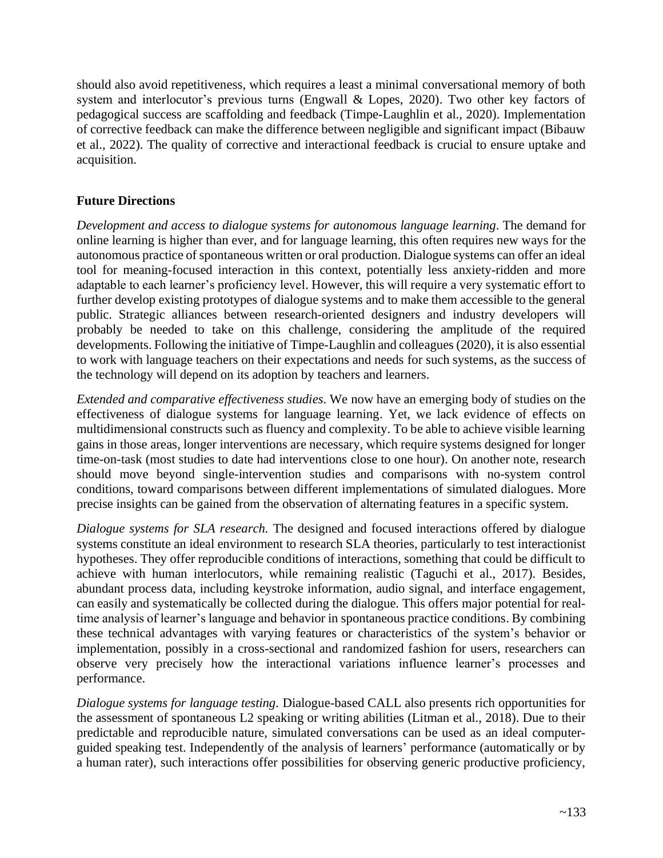should also avoid repetitiveness, which requires a least a minimal conversational memory of both system and interlocutor's previous turns (Engwall & Lopes, 2020). Two other key factors of pedagogical success are scaffolding and feedback (Timpe-Laughlin et al., 2020). Implementation of corrective feedback can make the difference between negligible and significant impact (Bibauw et al., 2022). The quality of corrective and interactional feedback is crucial to ensure uptake and acquisition.

## **Future Directions**

*Development and access to dialogue systems for autonomous language learning*. The demand for online learning is higher than ever, and for language learning, this often requires new ways for the autonomous practice of spontaneous written or oral production. Dialogue systems can offer an ideal tool for meaning-focused interaction in this context, potentially less anxiety-ridden and more adaptable to each learner's proficiency level. However, this will require a very systematic effort to further develop existing prototypes of dialogue systems and to make them accessible to the general public. Strategic alliances between research-oriented designers and industry developers will probably be needed to take on this challenge, considering the amplitude of the required developments. Following the initiative of Timpe-Laughlin and colleagues (2020), it is also essential to work with language teachers on their expectations and needs for such systems, as the success of the technology will depend on its adoption by teachers and learners.

*Extended and comparative effectiveness studies.* We now have an emerging body of studies on the effectiveness of dialogue systems for language learning. Yet, we lack evidence of effects on multidimensional constructs such as fluency and complexity. To be able to achieve visible learning gains in those areas, longer interventions are necessary, which require systems designed for longer time-on-task (most studies to date had interventions close to one hour). On another note, research should move beyond single-intervention studies and comparisons with no-system control conditions, toward comparisons between different implementations of simulated dialogues. More precise insights can be gained from the observation of alternating features in a specific system.

*Dialogue systems for SLA research.* The designed and focused interactions offered by dialogue systems constitute an ideal environment to research SLA theories, particularly to test interactionist hypotheses. They offer reproducible conditions of interactions, something that could be difficult to achieve with human interlocutors, while remaining realistic (Taguchi et al., 2017). Besides, abundant process data, including keystroke information, audio signal, and interface engagement, can easily and systematically be collected during the dialogue. This offers major potential for realtime analysis of learner's language and behavior in spontaneous practice conditions. By combining these technical advantages with varying features or characteristics of the system's behavior or implementation, possibly in a cross-sectional and randomized fashion for users, researchers can observe very precisely how the interactional variations influence learner's processes and performance.

*Dialogue systems for language testing.* Dialogue-based CALL also presents rich opportunities for the assessment of spontaneous L2 speaking or writing abilities (Litman et al., 2018). Due to their predictable and reproducible nature, simulated conversations can be used as an ideal computerguided speaking test. Independently of the analysis of learners' performance (automatically or by a human rater), such interactions offer possibilities for observing generic productive proficiency,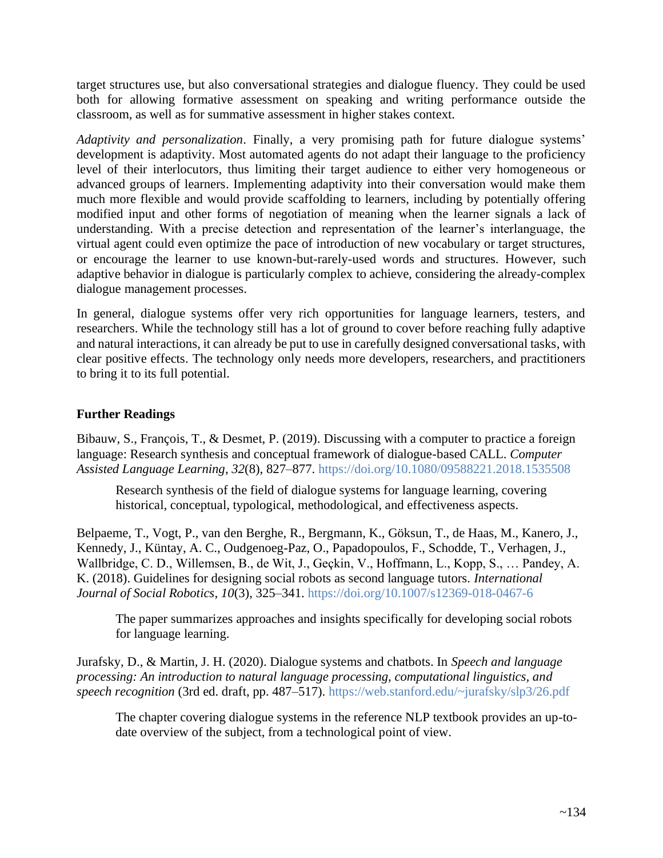target structures use, but also conversational strategies and dialogue fluency. They could be used both for allowing formative assessment on speaking and writing performance outside the classroom, as well as for summative assessment in higher stakes context.

*Adaptivity and personalization*. Finally, a very promising path for future dialogue systems' development is adaptivity. Most automated agents do not adapt their language to the proficiency level of their interlocutors, thus limiting their target audience to either very homogeneous or advanced groups of learners. Implementing adaptivity into their conversation would make them much more flexible and would provide scaffolding to learners, including by potentially offering modified input and other forms of negotiation of meaning when the learner signals a lack of understanding. With a precise detection and representation of the learner's interlanguage, the virtual agent could even optimize the pace of introduction of new vocabulary or target structures, or encourage the learner to use known-but-rarely-used words and structures. However, such adaptive behavior in dialogue is particularly complex to achieve, considering the already-complex dialogue management processes.

In general, dialogue systems offer very rich opportunities for language learners, testers, and researchers. While the technology still has a lot of ground to cover before reaching fully adaptive and natural interactions, it can already be put to use in carefully designed conversational tasks, with clear positive effects. The technology only needs more developers, researchers, and practitioners to bring it to its full potential.

## **Further Readings**

Bibauw, S., François, T., & Desmet, P. (2019). Discussing with a computer to practice a foreign language: Research synthesis and conceptual framework of dialogue-based CALL. *Computer Assisted Language Learning*, *32*(8), 827–877.<https://doi.org/10.1080/09588221.2018.1535508>

Research synthesis of the field of dialogue systems for language learning, covering historical, conceptual, typological, methodological, and effectiveness aspects.

Belpaeme, T., Vogt, P., van den Berghe, R., Bergmann, K., Göksun, T., de Haas, M., Kanero, J., Kennedy, J., Küntay, A. C., Oudgenoeg-Paz, O., Papadopoulos, F., Schodde, T., Verhagen, J., Wallbridge, C. D., Willemsen, B., de Wit, J., Geçkin, V., Hoffmann, L., Kopp, S., … Pandey, A. K. (2018). Guidelines for designing social robots as second language tutors. *International Journal of Social Robotics*, *10*(3), 325–341. [https://doi.org/10.1007/s12369-018-0467-6](https://doi.org/10en.1007/s12369-018-0467-6)

The paper summarizes approaches and insights specifically for developing social robots for language learning.

Jurafsky, D., & Martin, J. H. (2020). Dialogue systems and chatbots. In *Speech and language processing: An introduction to natural language processing, computational linguistics, and speech recognition* (3rd ed. draft, pp. 487–517).<https://web.stanford.edu/~jurafsky/slp3/26.pdf>

The chapter covering dialogue systems in the reference NLP textbook provides an up-todate overview of the subject, from a technological point of view.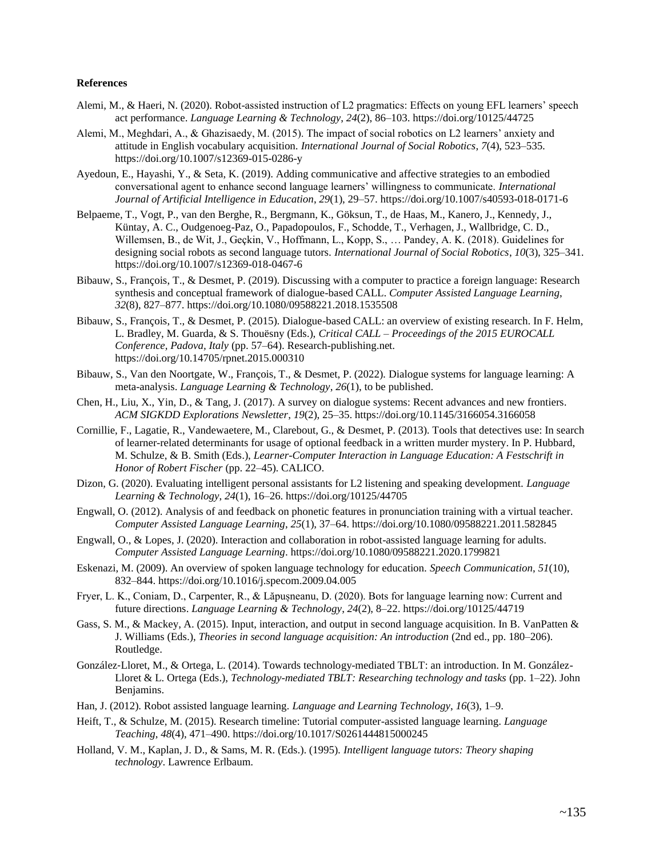#### **References**

- Alemi, M., & Haeri, N. (2020). Robot-assisted instruction of L2 pragmatics: Effects on young EFL learners' speech act performance. *Language Learning & Technology*, *24*(2), 86–103. https://doi.org/10125/44725
- Alemi, M., Meghdari, A., & Ghazisaedy, M. (2015). The impact of social robotics on L2 learners' anxiety and attitude in English vocabulary acquisition. *International Journal of Social Robotics*, *7*(4), 523–535. https://doi.org/10.1007/s12369-015-0286-y
- Ayedoun, E., Hayashi, Y., & Seta, K. (2019). Adding communicative and affective strategies to an embodied conversational agent to enhance second language learners' willingness to communicate. *International Journal of Artificial Intelligence in Education*, *29*(1), 29–57. https://doi.org/10.1007/s40593-018-0171-6
- Belpaeme, T., Vogt, P., van den Berghe, R., Bergmann, K., Göksun, T., de Haas, M., Kanero, J., Kennedy, J., Küntay, A. C., Oudgenoeg-Paz, O., Papadopoulos, F., Schodde, T., Verhagen, J., Wallbridge, C. D., Willemsen, B., de Wit, J., Geçkin, V., Hoffmann, L., Kopp, S., … Pandey, A. K. (2018). Guidelines for designing social robots as second language tutors. *International Journal of Social Robotics*, *10*(3), 325–341. https://doi.org/10.1007/s12369-018-0467-6
- Bibauw, S., François, T., & Desmet, P. (2019). Discussing with a computer to practice a foreign language: Research synthesis and conceptual framework of dialogue-based CALL. *Computer Assisted Language Learning*, *32*(8), 827–877. https://doi.org/10.1080/09588221.2018.1535508
- Bibauw, S., François, T., & Desmet, P. (2015). Dialogue-based CALL: an overview of existing research. In F. Helm, L. Bradley, M. Guarda, & S. Thouësny (Eds.), *Critical CALL – Proceedings of the 2015 EUROCALL Conference, Padova, Italy* (pp. 57–64). Research-publishing.net. https://doi.org/10.14705/rpnet.2015.000310
- Bibauw, S., Van den Noortgate, W., François, T., & Desmet, P. (2022). Dialogue systems for language learning: A meta-analysis. *Language Learning & Technology*, *26*(1), to be published.
- Chen, H., Liu, X., Yin, D., & Tang, J. (2017). A survey on dialogue systems: Recent advances and new frontiers. *ACM SIGKDD Explorations Newsletter*, *19*(2), 25–35. https://doi.org/10.1145/3166054.3166058
- Cornillie, F., Lagatie, R., Vandewaetere, M., Clarebout, G., & Desmet, P. (2013). Tools that detectives use: In search of learner-related determinants for usage of optional feedback in a written murder mystery. In P. Hubbard, M. Schulze, & B. Smith (Eds.), *Learner-Computer Interaction in Language Education: A Festschrift in Honor of Robert Fischer* (pp. 22–45). CALICO.
- Dizon, G. (2020). Evaluating intelligent personal assistants for L2 listening and speaking development. *Language Learning & Technology*, *24*(1), 16–26. https://doi.org/10125/44705
- Engwall, O. (2012). Analysis of and feedback on phonetic features in pronunciation training with a virtual teacher. *Computer Assisted Language Learning*, *25*(1), 37–64. https://doi.org/10.1080/09588221.2011.582845
- Engwall, O., & Lopes, J. (2020). Interaction and collaboration in robot-assisted language learning for adults. *Computer Assisted Language Learning*. https://doi.org/10.1080/09588221.2020.1799821
- Eskenazi, M. (2009). An overview of spoken language technology for education. *Speech Communication*, *51*(10), 832–844. https://doi.org/10.1016/j.specom.2009.04.005
- Fryer, L. K., Coniam, D., Carpenter, R., & Lăpușneanu, D. (2020). Bots for language learning now: Current and future directions. *Language Learning & Technology*, *24*(2), 8–22. https://doi.org/10125/44719
- Gass, S. M., & Mackey, A. (2015). Input, interaction, and output in second language acquisition. In B. VanPatten & J. Williams (Eds.), *Theories in second language acquisition: An introduction* (2nd ed., pp. 180–206). Routledge.
- González‐Lloret, M., & Ortega, L. (2014). Towards technology-mediated TBLT: an introduction. In M. González-Lloret & L. Ortega (Eds.), *Technology-mediated TBLT: Researching technology and tasks* (pp. 1–22). John Benjamins.
- Han, J. (2012). Robot assisted language learning. *Language and Learning Technology*, *16*(3), 1–9.
- Heift, T., & Schulze, M. (2015). Research timeline: Tutorial computer-assisted language learning. *Language Teaching*, *48*(4), 471–490. https://doi.org/10.1017/S0261444815000245
- Holland, V. M., Kaplan, J. D., & Sams, M. R. (Eds.). (1995). *Intelligent language tutors: Theory shaping technology*. Lawrence Erlbaum.